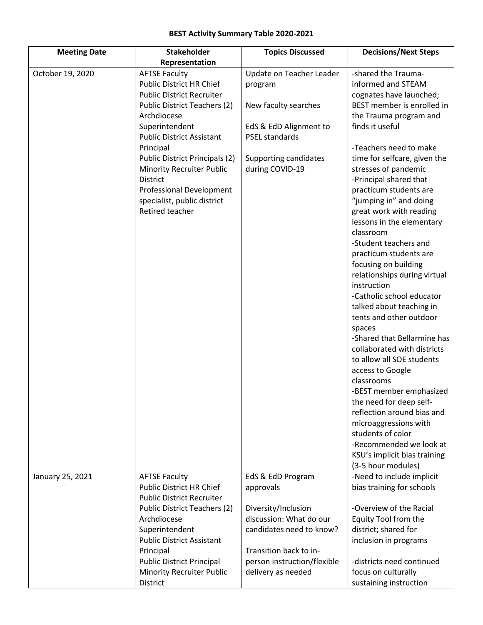## **BEST Activity Summary Table 2020-2021**

| <b>Meeting Date</b> | <b>Stakeholder</b>                                                                                                                                                                                                                                                                                                                                                            | <b>Topics Discussed</b>                                                                                                                                    | <b>Decisions/Next Steps</b>                                                                                                                                                                                                                                                                                                                                                                                                                                                                                                                                                                                                                                                                                                                                                                                                                                                 |
|---------------------|-------------------------------------------------------------------------------------------------------------------------------------------------------------------------------------------------------------------------------------------------------------------------------------------------------------------------------------------------------------------------------|------------------------------------------------------------------------------------------------------------------------------------------------------------|-----------------------------------------------------------------------------------------------------------------------------------------------------------------------------------------------------------------------------------------------------------------------------------------------------------------------------------------------------------------------------------------------------------------------------------------------------------------------------------------------------------------------------------------------------------------------------------------------------------------------------------------------------------------------------------------------------------------------------------------------------------------------------------------------------------------------------------------------------------------------------|
|                     | Representation                                                                                                                                                                                                                                                                                                                                                                |                                                                                                                                                            |                                                                                                                                                                                                                                                                                                                                                                                                                                                                                                                                                                                                                                                                                                                                                                                                                                                                             |
| October 19, 2020    | <b>AFTSE Faculty</b><br>Public District HR Chief<br><b>Public District Recruiter</b><br>Public District Teachers (2)<br>Archdiocese<br>Superintendent<br><b>Public District Assistant</b><br>Principal<br>Public District Principals (2)<br><b>Minority Recruiter Public</b><br><b>District</b><br>Professional Development<br>specialist, public district<br>Retired teacher | Update on Teacher Leader<br>program<br>New faculty searches<br>EdS & EdD Alignment to<br><b>PSEL standards</b><br>Supporting candidates<br>during COVID-19 | -shared the Trauma-<br>informed and STEAM<br>cognates have launched;<br>BEST member is enrolled in<br>the Trauma program and<br>finds it useful<br>-Teachers need to make<br>time for selfcare, given the<br>stresses of pandemic<br>-Principal shared that<br>practicum students are<br>"jumping in" and doing<br>great work with reading<br>lessons in the elementary<br>classroom<br>-Student teachers and<br>practicum students are<br>focusing on building<br>relationships during virtual<br>instruction<br>-Catholic school educator<br>talked about teaching in<br>tents and other outdoor<br>spaces<br>-Shared that Bellarmine has<br>collaborated with districts<br>to allow all SOE students<br>access to Google<br>classrooms<br>-BEST member emphasized<br>the need for deep self-<br>reflection around bias and<br>microaggressions with<br>students of color |
|                     |                                                                                                                                                                                                                                                                                                                                                                               |                                                                                                                                                            | -Recommended we look at<br>KSU's implicit bias training<br>(3-5 hour modules)                                                                                                                                                                                                                                                                                                                                                                                                                                                                                                                                                                                                                                                                                                                                                                                               |
| January 25, 2021    | <b>AFTSE Faculty</b><br><b>Public District HR Chief</b><br><b>Public District Recruiter</b>                                                                                                                                                                                                                                                                                   | EdS & EdD Program<br>approvals                                                                                                                             | -Need to include implicit<br>bias training for schools                                                                                                                                                                                                                                                                                                                                                                                                                                                                                                                                                                                                                                                                                                                                                                                                                      |
|                     | Public District Teachers (2)<br>Archdiocese<br>Superintendent<br><b>Public District Assistant</b><br>Principal<br><b>Public District Principal</b>                                                                                                                                                                                                                            | Diversity/Inclusion<br>discussion: What do our<br>candidates need to know?<br>Transition back to in-<br>person instruction/flexible                        | -Overview of the Racial<br>Equity Tool from the<br>district; shared for<br>inclusion in programs<br>-districts need continued                                                                                                                                                                                                                                                                                                                                                                                                                                                                                                                                                                                                                                                                                                                                               |
|                     | <b>Minority Recruiter Public</b><br>District                                                                                                                                                                                                                                                                                                                                  | delivery as needed                                                                                                                                         | focus on culturally<br>sustaining instruction                                                                                                                                                                                                                                                                                                                                                                                                                                                                                                                                                                                                                                                                                                                                                                                                                               |